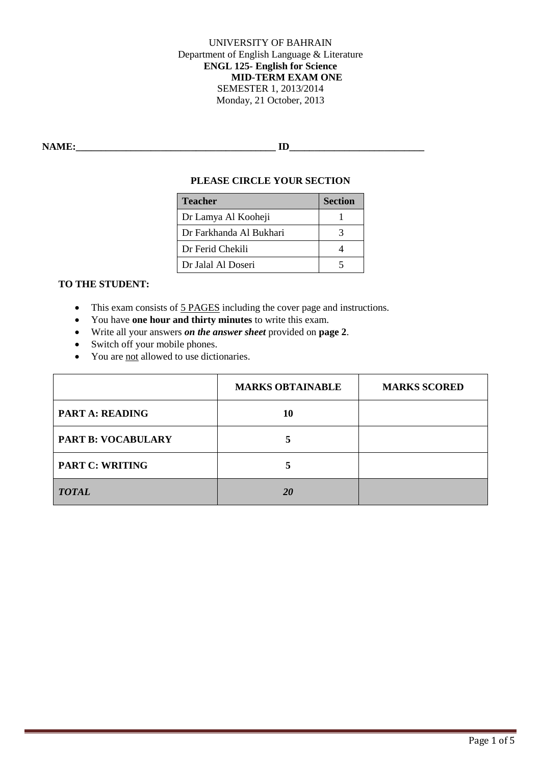UNIVERSITY OF BAHRAIN Department of English Language & Literature **ENGL 125- English for Science MID-TERM EXAM ONE** SEMESTER 1, 2013/2014 Monday, 21 October, 2013

**NAME:\_\_\_\_\_\_\_\_\_\_\_\_\_\_\_\_\_\_\_\_\_\_\_\_\_\_\_\_\_\_\_\_\_\_\_\_\_\_\_\_ ID\_\_\_\_\_\_\_\_\_\_\_\_\_\_\_\_\_\_\_\_\_\_\_\_\_\_\_**

#### **PLEASE CIRCLE YOUR SECTION**

| <b>Teacher</b>          | <b>Section</b> |
|-------------------------|----------------|
| Dr Lamya Al Kooheji     |                |
| Dr Farkhanda Al Bukhari |                |
| Dr Ferid Chekili        |                |
| Dr Jalal Al Doseri      |                |

## **TO THE STUDENT:**

- This exam consists of 5 PAGES including the cover page and instructions.
- You have **one hour and thirty minutes** to write this exam.
- Write all your answers *on the answer sheet* provided on **page 2**.
- Switch off your mobile phones.
- You are <u>not</u> allowed to use dictionaries.

|                           | <b>MARKS OBTAINABLE</b> | <b>MARKS SCORED</b> |
|---------------------------|-------------------------|---------------------|
| <b>PART A: READING</b>    | 10                      |                     |
| <b>PART B: VOCABULARY</b> |                         |                     |
| <b>PART C: WRITING</b>    |                         |                     |
| <b>TOTAL</b>              | <b>20</b>               |                     |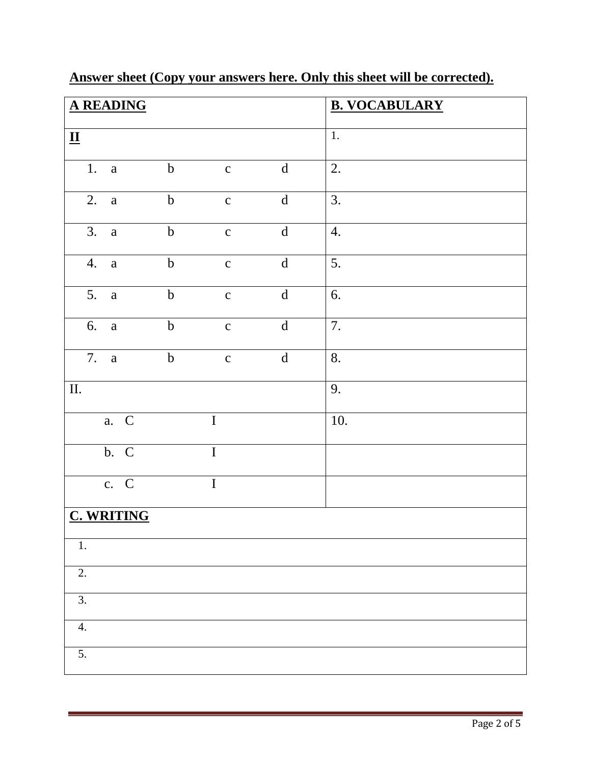|                          | <b>A READING</b>   |                  |                |                                                                                                                                                                                                                                                                                                                                                                                                                                              | <b>B. VOCABULARY</b> |
|--------------------------|--------------------|------------------|----------------|----------------------------------------------------------------------------------------------------------------------------------------------------------------------------------------------------------------------------------------------------------------------------------------------------------------------------------------------------------------------------------------------------------------------------------------------|----------------------|
|                          |                    |                  |                |                                                                                                                                                                                                                                                                                                                                                                                                                                              | $\overline{1}$ .     |
| $\mathbf{\underline{u}}$ |                    |                  |                |                                                                                                                                                                                                                                                                                                                                                                                                                                              |                      |
|                          | 1. a               | $\boldsymbol{b}$ | $\mathbf{C}$   | $\mathbf d$                                                                                                                                                                                                                                                                                                                                                                                                                                  | 2.                   |
| 2.                       | $\rm{a}$           | $\mathbf b$      | $\mathbf c$    | $\mathrm{d}% \left\  \mathbf{r}_{i}^{*}\right\  _{A_{i}}=\mathrm{d}\left\  \mathbf{r}_{i}^{*}\right\  _{A_{i}}=\mathrm{d}\left\  \mathbf{r}_{i}^{*}\right\  _{A_{i}}=\mathrm{d}\left\  \mathbf{r}_{i}^{*}\right\  _{A_{i}}=\mathrm{d}\left\  \mathbf{r}_{i}^{*}\right\  _{A_{i}}=\mathrm{d}\left\  \mathbf{r}_{i}^{*}\right\  _{A_{i}}=\mathrm{d}\left\  \mathbf{r}_{i}^{*}\right\  _{A_{i}}=\mathrm{d}\left\  \mathbf{r}_{i}^{*}\right\  _$ | 3.                   |
| 3.                       | $\mathbf{a}$       | $\mathbf b$      | $\mathbf{C}$   | $\overline{\mathrm{d}}$                                                                                                                                                                                                                                                                                                                                                                                                                      | $\overline{4}$ .     |
| 4.                       | $\rm{a}$           | $\boldsymbol{b}$ | $\mathbf{C}$   | $\mathbf d$                                                                                                                                                                                                                                                                                                                                                                                                                                  | 5.                   |
| 5.                       | $\mathbf{a}$       | $\bf b$          | $\mathbf{C}$   | ${\bf d}$                                                                                                                                                                                                                                                                                                                                                                                                                                    | 6.                   |
| 6.                       | $\mathbf{a}$       | $\mathbf b$      | $\mathbf{C}$   | ${\bf d}$                                                                                                                                                                                                                                                                                                                                                                                                                                    | 7.                   |
|                          | 7. a               | $\boldsymbol{b}$ | $\mathbf{C}$   | $\mathrm{d}% \left\  \mathbf{M}\right\  ^{2}$                                                                                                                                                                                                                                                                                                                                                                                                | 8.                   |
| $\overline{\rm II}$ .    |                    |                  |                |                                                                                                                                                                                                                                                                                                                                                                                                                                              | 9.                   |
|                          | a. C               |                  | $\mathbf I$    |                                                                                                                                                                                                                                                                                                                                                                                                                                              | 10.                  |
|                          | b. C               |                  | $\overline{I}$ |                                                                                                                                                                                                                                                                                                                                                                                                                                              |                      |
|                          | $\overline{c}$ . C |                  | $\bf I$        |                                                                                                                                                                                                                                                                                                                                                                                                                                              |                      |
|                          | <b>C. WRITING</b>  |                  |                |                                                                                                                                                                                                                                                                                                                                                                                                                                              |                      |
| $1.$                     |                    |                  |                |                                                                                                                                                                                                                                                                                                                                                                                                                                              |                      |
| 2.                       |                    |                  |                |                                                                                                                                                                                                                                                                                                                                                                                                                                              |                      |
| $\overline{3}$ .         |                    |                  |                |                                                                                                                                                                                                                                                                                                                                                                                                                                              |                      |
| 4.                       |                    |                  |                |                                                                                                                                                                                                                                                                                                                                                                                                                                              |                      |
| $\overline{5}$ .         |                    |                  |                |                                                                                                                                                                                                                                                                                                                                                                                                                                              |                      |

# **Answer sheet (Copy your answers here. Only this sheet will be corrected).**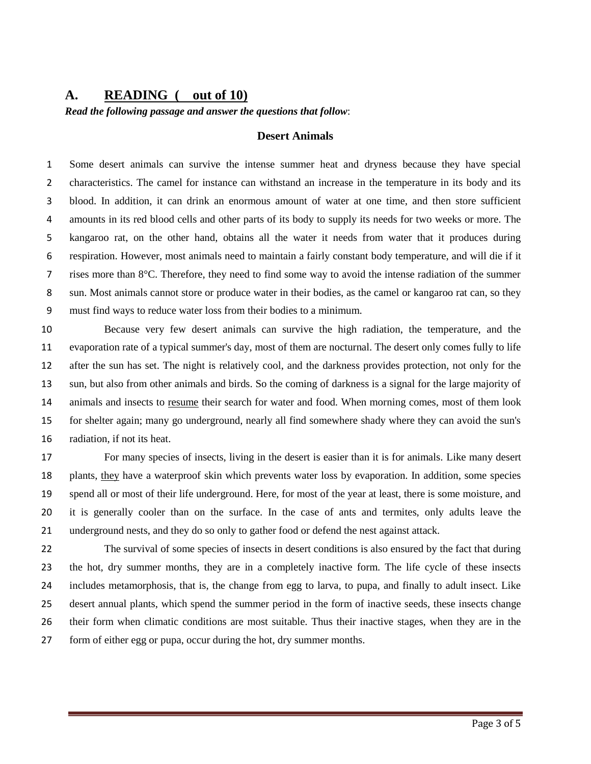### **A. READING ( out of 10)**

*Read the following passage and answer the questions that follow*:

#### **Desert Animals**

 Some desert animals can survive the intense summer heat and dryness because they have special characteristics. The camel for instance can withstand an increase in the temperature in its body and its blood. In addition, it can drink an enormous amount of water at one time, and then store sufficient amounts in its red blood cells and other parts of its body to supply its needs for two weeks or more. The kangaroo rat, on the other hand, obtains all the water it needs from water that it produces during respiration. However, most animals need to maintain a fairly constant body temperature, and will die if it rises more than 8°C. Therefore, they need to find some way to avoid the intense radiation of the summer sun. Most animals cannot store or produce water in their bodies, as the camel or kangaroo rat can, so they must find ways to reduce water loss from their bodies to a minimum.

 Because very few desert animals can survive the high radiation, the temperature, and the evaporation rate of a typical summer's day, most of them are nocturnal. The desert only comes fully to life after the sun has set. The night is relatively cool, and the darkness provides protection, not only for the sun, but also from other animals and birds. So the coming of darkness is a signal for the large majority of animals and insects to resume their search for water and food. When morning comes, most of them look for shelter again; many go underground, nearly all find somewhere shady where they can avoid the sun's radiation, if not its heat.

 For many species of insects, living in the desert is easier than it is for animals. Like many desert 18 plants, they have a waterproof skin which prevents water loss by evaporation. In addition, some species spend all or most of their life underground. Here, for most of the year at least, there is some moisture, and it is generally cooler than on the surface. In the case of ants and termites, only adults leave the underground nests, and they do so only to gather food or defend the nest against attack.

 The survival of some species of insects in desert conditions is also ensured by the fact that during the hot, dry summer months, they are in a completely inactive form. The life cycle of these insects includes metamorphosis, that is, the change from egg to larva, to pupa, and finally to adult insect. Like desert annual plants, which spend the summer period in the form of inactive seeds, these insects change their form when climatic conditions are most suitable. Thus their inactive stages, when they are in the form of either egg or pupa, occur during the hot, dry summer months.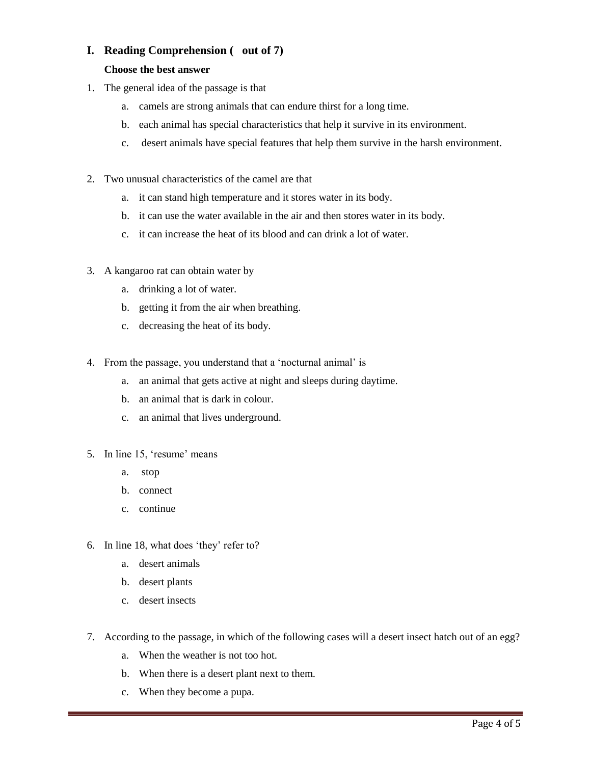## **I. Reading Comprehension ( out of 7)**

#### **Choose the best answer**

- 1. The general idea of the passage is that
	- a. camels are strong animals that can endure thirst for a long time.
	- b. each animal has special characteristics that help it survive in its environment.
	- c. desert animals have special features that help them survive in the harsh environment.
- 2. Two unusual characteristics of the camel are that
	- a. it can stand high temperature and it stores water in its body.
	- b. it can use the water available in the air and then stores water in its body.
	- c. it can increase the heat of its blood and can drink a lot of water.
- 3. A kangaroo rat can obtain water by
	- a. drinking a lot of water.
	- b. getting it from the air when breathing.
	- c. decreasing the heat of its body.
- 4. From the passage, you understand that a 'nocturnal animal' is
	- a. an animal that gets active at night and sleeps during daytime.
	- b. an animal that is dark in colour.
	- c. an animal that lives underground.
- 5. In line 15, 'resume' means
	- a. stop
	- b. connect
	- c. continue
- 6. In line 18, what does 'they' refer to?
	- a. desert animals
	- b. desert plants
	- c. desert insects
- 7. According to the passage, in which of the following cases will a desert insect hatch out of an egg?
	- a. When the weather is not too hot.
	- b. When there is a desert plant next to them.
	- c. When they become a pupa.